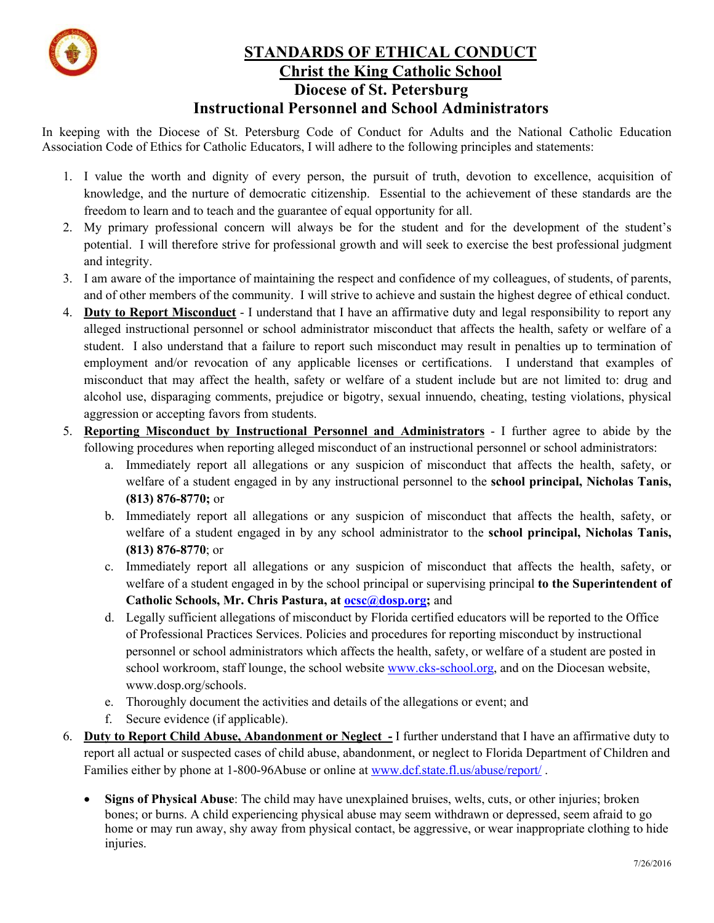

## **STANDARDS OF ETHICAL CONDUCT Christ the King Catholic School Diocese of St. Petersburg Instructional Personnel and School Administrators**

In keeping with the Diocese of St. Petersburg Code of Conduct for Adults and the National Catholic Education Association Code of Ethics for Catholic Educators, I will adhere to the following principles and statements:

- 1. I value the worth and dignity of every person, the pursuit of truth, devotion to excellence, acquisition of knowledge, and the nurture of democratic citizenship. Essential to the achievement of these standards are the freedom to learn and to teach and the guarantee of equal opportunity for all.
- 2. My primary professional concern will always be for the student and for the development of the student's potential. I will therefore strive for professional growth and will seek to exercise the best professional judgment and integrity.
- 3. I am aware of the importance of maintaining the respect and confidence of my colleagues, of students, of parents, and of other members of the community. I will strive to achieve and sustain the highest degree of ethical conduct.
- 4. **Duty to Report Misconduct** I understand that I have an affirmative duty and legal responsibility to report any alleged instructional personnel or school administrator misconduct that affects the health, safety or welfare of a student. I also understand that a failure to report such misconduct may result in penalties up to termination of employment and/or revocation of any applicable licenses or certifications. I understand that examples of misconduct that may affect the health, safety or welfare of a student include but are not limited to: drug and alcohol use, disparaging comments, prejudice or bigotry, sexual innuendo, cheating, testing violations, physical aggression or accepting favors from students.
- 5. **Reporting Misconduct by Instructional Personnel and Administrators** I further agree to abide by the following procedures when reporting alleged misconduct of an instructional personnel or school administrators:
	- a. Immediately report all allegations or any suspicion of misconduct that affects the health, safety, or welfare of a student engaged in by any instructional personnel to the **school principal, Nicholas Tanis, (813) 876-8770;** or
	- b. Immediately report all allegations or any suspicion of misconduct that affects the health, safety, or welfare of a student engaged in by any school administrator to the **school principal, Nicholas Tanis, (813) 876-8770**; or
	- c. Immediately report all allegations or any suspicion of misconduct that affects the health, safety, or welfare of a student engaged in by the school principal or supervising principal **to the Superintendent of Catholic Schools, Mr. Chris Pastura, at ocsc@dosp.org;** and
	- d. Legally sufficient allegations of misconduct by Florida certified educators will be reported to the Office of Professional Practices Services. Policies and procedures for reporting misconduct by instructional personnel or school administrators which affects the health, safety, or welfare of a student are posted in school workroom, staff lounge, the school website www.cks-school.org, and on the Diocesan website, www.dosp.org/schools.
	- e. Thoroughly document the activities and details of the allegations or event; and
	- f. Secure evidence (if applicable).
- 6. **Duty to Report Child Abuse, Abandonment or Neglect -** I further understand that I have an affirmative duty to report all actual or suspected cases of child abuse, abandonment, or neglect to Florida Department of Children and Families either by phone at 1-800-96Abuse or online at www.dcf.state.fl.us/abuse/report/ .
	- **Signs of Physical Abuse**: The child may have unexplained bruises, welts, cuts, or other injuries; broken bones; or burns. A child experiencing physical abuse may seem withdrawn or depressed, seem afraid to go home or may run away, shy away from physical contact, be aggressive, or wear inappropriate clothing to hide injuries.